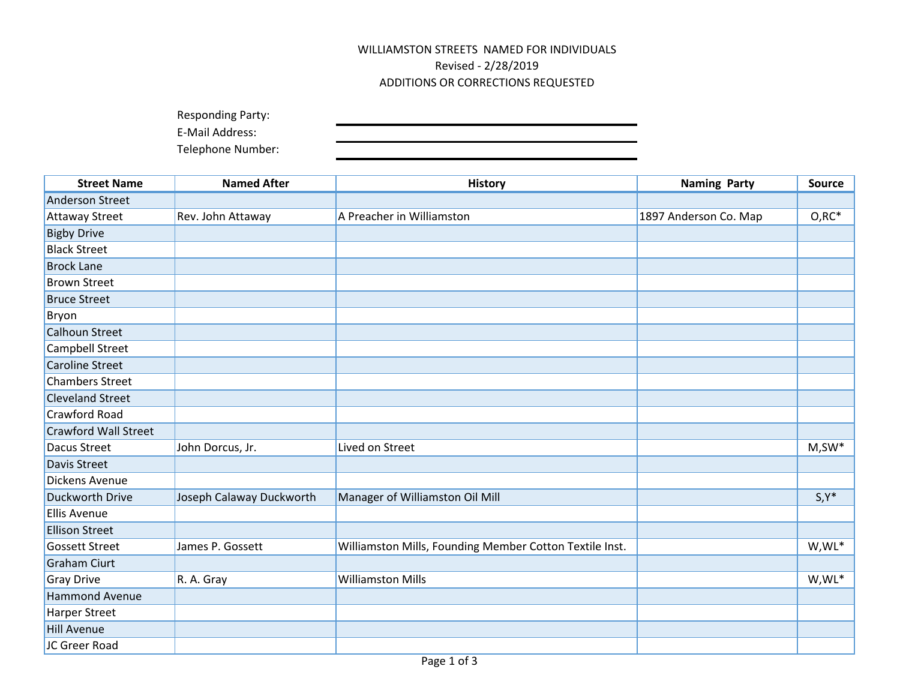## WILLIAMSTON STREETS NAMED FOR INDIVIDUALS Revised - 2/28/2019 ADDITIONS OR CORRECTIONS REQUESTED

Responding Party:

E-Mail Address:

Telephone Number:

| <b>Street Name</b>          | <b>Named After</b>       | <b>History</b>                                          | <b>Naming Party</b>   | <b>Source</b> |
|-----------------------------|--------------------------|---------------------------------------------------------|-----------------------|---------------|
| <b>Anderson Street</b>      |                          |                                                         |                       |               |
| <b>Attaway Street</b>       | Rev. John Attaway        | A Preacher in Williamston                               | 1897 Anderson Co. Map | $O, RC^*$     |
| <b>Bigby Drive</b>          |                          |                                                         |                       |               |
| <b>Black Street</b>         |                          |                                                         |                       |               |
| <b>Brock Lane</b>           |                          |                                                         |                       |               |
| <b>Brown Street</b>         |                          |                                                         |                       |               |
| <b>Bruce Street</b>         |                          |                                                         |                       |               |
| Bryon                       |                          |                                                         |                       |               |
| <b>Calhoun Street</b>       |                          |                                                         |                       |               |
| Campbell Street             |                          |                                                         |                       |               |
| <b>Caroline Street</b>      |                          |                                                         |                       |               |
| <b>Chambers Street</b>      |                          |                                                         |                       |               |
| <b>Cleveland Street</b>     |                          |                                                         |                       |               |
| Crawford Road               |                          |                                                         |                       |               |
| <b>Crawford Wall Street</b> |                          |                                                         |                       |               |
| Dacus Street                | John Dorcus, Jr.         | Lived on Street                                         |                       | $M,SW^*$      |
| Davis Street                |                          |                                                         |                       |               |
| Dickens Avenue              |                          |                                                         |                       |               |
| Duckworth Drive             | Joseph Calaway Duckworth | Manager of Williamston Oil Mill                         |                       | $S, Y^*$      |
| <b>Ellis Avenue</b>         |                          |                                                         |                       |               |
| <b>Ellison Street</b>       |                          |                                                         |                       |               |
| <b>Gossett Street</b>       | James P. Gossett         | Williamston Mills, Founding Member Cotton Textile Inst. |                       | W,WL*         |
| <b>Graham Ciurt</b>         |                          |                                                         |                       |               |
| <b>Gray Drive</b>           | R. A. Gray               | <b>Williamston Mills</b>                                |                       | W,WL*         |
| <b>Hammond Avenue</b>       |                          |                                                         |                       |               |
| <b>Harper Street</b>        |                          |                                                         |                       |               |
| <b>Hill Avenue</b>          |                          |                                                         |                       |               |
| JC Greer Road               |                          |                                                         |                       |               |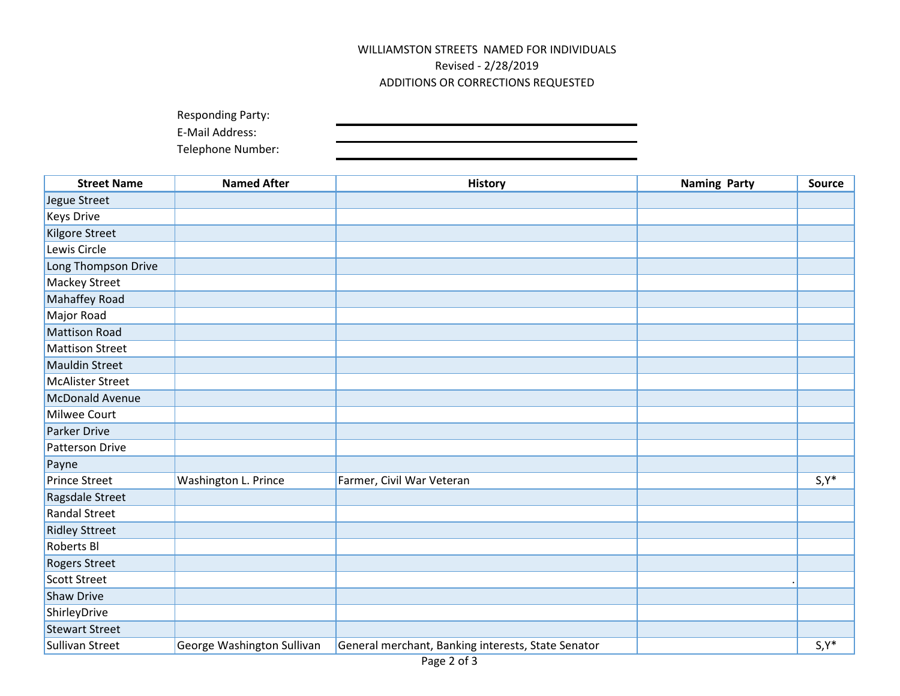## WILLIAMSTON STREETS NAMED FOR INDIVIDUALS Revised - 2/28/2019 ADDITIONS OR CORRECTIONS REQUESTED

| <b>Responding Party:</b> |  |
|--------------------------|--|
| E-Mail Address:          |  |
| Telephone Number:        |  |

| <b>Street Name</b>      | <b>Named After</b>         | <b>History</b>                                     | <b>Naming Party</b> | <b>Source</b> |
|-------------------------|----------------------------|----------------------------------------------------|---------------------|---------------|
| Jegue Street            |                            |                                                    |                     |               |
| <b>Keys Drive</b>       |                            |                                                    |                     |               |
| Kilgore Street          |                            |                                                    |                     |               |
| Lewis Circle            |                            |                                                    |                     |               |
| Long Thompson Drive     |                            |                                                    |                     |               |
| Mackey Street           |                            |                                                    |                     |               |
| Mahaffey Road           |                            |                                                    |                     |               |
| Major Road              |                            |                                                    |                     |               |
| <b>Mattison Road</b>    |                            |                                                    |                     |               |
| <b>Mattison Street</b>  |                            |                                                    |                     |               |
| <b>Mauldin Street</b>   |                            |                                                    |                     |               |
| <b>McAlister Street</b> |                            |                                                    |                     |               |
| <b>McDonald Avenue</b>  |                            |                                                    |                     |               |
| Milwee Court            |                            |                                                    |                     |               |
| <b>Parker Drive</b>     |                            |                                                    |                     |               |
| Patterson Drive         |                            |                                                    |                     |               |
| Payne                   |                            |                                                    |                     |               |
| <b>Prince Street</b>    | Washington L. Prince       | Farmer, Civil War Veteran                          |                     | $S, Y^*$      |
| Ragsdale Street         |                            |                                                    |                     |               |
| <b>Randal Street</b>    |                            |                                                    |                     |               |
| <b>Ridley Sttreet</b>   |                            |                                                    |                     |               |
| Roberts Bl              |                            |                                                    |                     |               |
| <b>Rogers Street</b>    |                            |                                                    |                     |               |
| <b>Scott Street</b>     |                            |                                                    |                     |               |
| <b>Shaw Drive</b>       |                            |                                                    |                     |               |
| ShirleyDrive            |                            |                                                    |                     |               |
| <b>Stewart Street</b>   |                            |                                                    |                     |               |
| Sullivan Street         | George Washington Sullivan | General merchant, Banking interests, State Senator |                     | $S, Y^*$      |